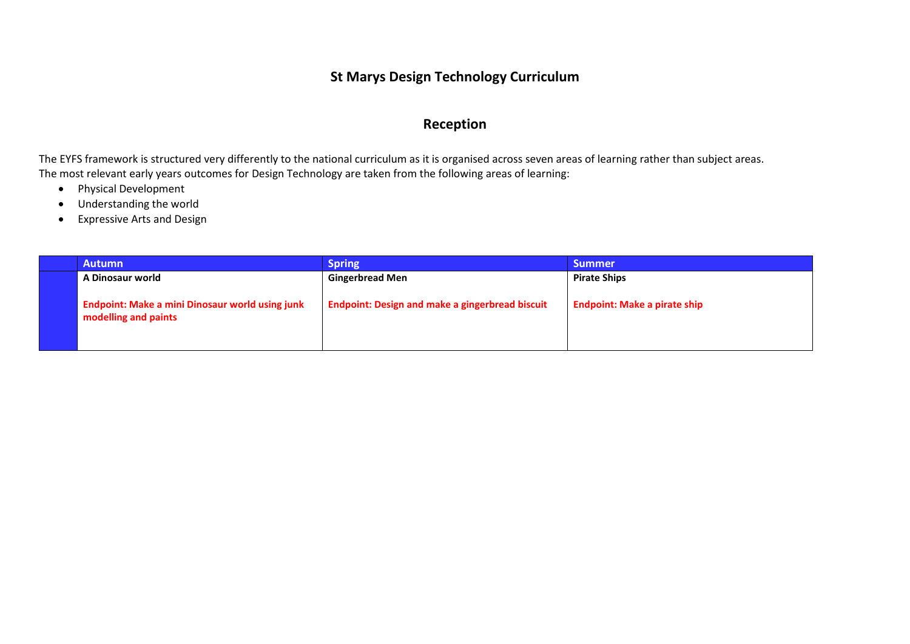#### **St Marys Design Technology Curriculum**

#### **Reception**

The EYFS framework is structured very differently to the national curriculum as it is organised across seven areas of learning rather than subject areas. The most relevant early years outcomes for Design Technology are taken from the following areas of learning:

- Physical Development
- Understanding the world
- Expressive Arts and Design

| <b>Autumn</b>                                                                  | <b>Spring</b>                                          | <b>Summer</b>                       |
|--------------------------------------------------------------------------------|--------------------------------------------------------|-------------------------------------|
| A Dinosaur world                                                               | <b>Gingerbread Men</b>                                 | <b>Pirate Ships</b>                 |
| <b>Endpoint: Make a mini Dinosaur world using junk</b><br>modelling and paints | <b>Endpoint: Design and make a gingerbread biscuit</b> | <b>Endpoint: Make a pirate ship</b> |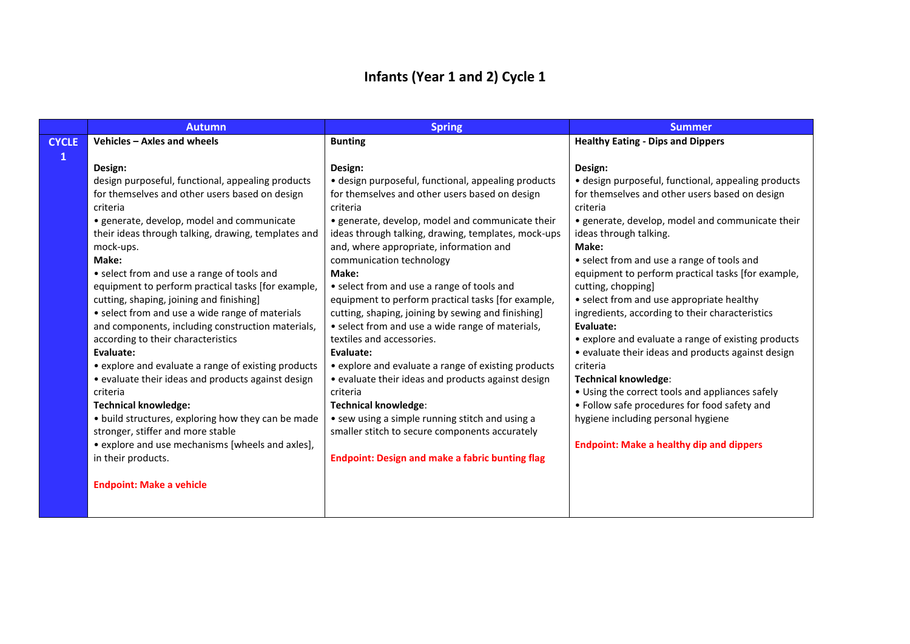### **Infants (Year 1 and 2) Cycle 1**

|              | <b>Autumn</b>                                       | <b>Spring</b>                                          | <b>Summer</b>                                                                                   |
|--------------|-----------------------------------------------------|--------------------------------------------------------|-------------------------------------------------------------------------------------------------|
| <b>CYCLE</b> | Vehicles - Axles and wheels                         | <b>Bunting</b>                                         | <b>Healthy Eating - Dips and Dippers</b>                                                        |
| 1            |                                                     |                                                        |                                                                                                 |
|              | Design:                                             | Design:                                                | Design:                                                                                         |
|              | design purposeful, functional, appealing products   | · design purposeful, functional, appealing products    | · design purposeful, functional, appealing products                                             |
|              | for themselves and other users based on design      | for themselves and other users based on design         | for themselves and other users based on design                                                  |
|              | criteria                                            | criteria                                               | criteria                                                                                        |
|              | · generate, develop, model and communicate          | • generate, develop, model and communicate their       | • generate, develop, model and communicate their                                                |
|              | their ideas through talking, drawing, templates and | ideas through talking, drawing, templates, mock-ups    | ideas through talking.                                                                          |
|              | mock-ups.                                           | and, where appropriate, information and                | Make:                                                                                           |
|              | Make:                                               | communication technology                               | • select from and use a range of tools and                                                      |
|              | • select from and use a range of tools and          | Make:                                                  | equipment to perform practical tasks [for example,                                              |
|              | equipment to perform practical tasks [for example,  | • select from and use a range of tools and             | cutting, chopping]                                                                              |
|              | cutting, shaping, joining and finishing]            | equipment to perform practical tasks [for example,     | • select from and use appropriate healthy                                                       |
|              | • select from and use a wide range of materials     | cutting, shaping, joining by sewing and finishing]     | ingredients, according to their characteristics                                                 |
|              | and components, including construction materials,   | • select from and use a wide range of materials,       | Evaluate:                                                                                       |
|              | according to their characteristics                  | textiles and accessories.                              | • explore and evaluate a range of existing products                                             |
|              | Evaluate:                                           | Evaluate:                                              | • evaluate their ideas and products against design                                              |
|              | • explore and evaluate a range of existing products | • explore and evaluate a range of existing products    | criteria                                                                                        |
|              | • evaluate their ideas and products against design  | • evaluate their ideas and products against design     | Technical knowledge:                                                                            |
|              | criteria<br><b>Technical knowledge:</b>             | criteria<br><b>Technical knowledge:</b>                | • Using the correct tools and appliances safely<br>• Follow safe procedures for food safety and |
|              | • build structures, exploring how they can be made  | • sew using a simple running stitch and using a        | hygiene including personal hygiene                                                              |
|              | stronger, stiffer and more stable                   | smaller stitch to secure components accurately         |                                                                                                 |
|              | • explore and use mechanisms [wheels and axles],    |                                                        | <b>Endpoint: Make a healthy dip and dippers</b>                                                 |
|              | in their products.                                  | <b>Endpoint: Design and make a fabric bunting flag</b> |                                                                                                 |
|              |                                                     |                                                        |                                                                                                 |
|              | <b>Endpoint: Make a vehicle</b>                     |                                                        |                                                                                                 |
|              |                                                     |                                                        |                                                                                                 |
|              |                                                     |                                                        |                                                                                                 |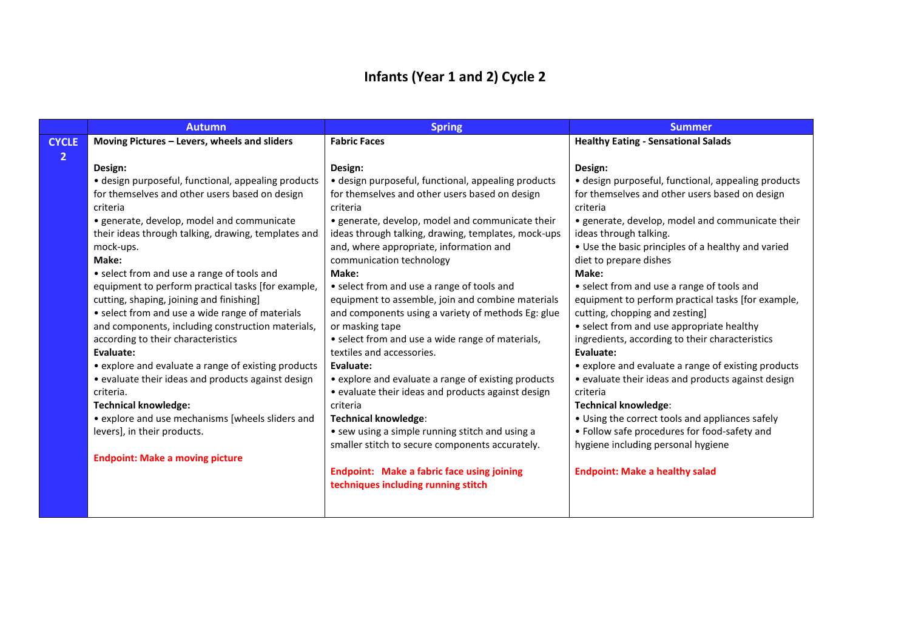### **Infants (Year 1 and 2) Cycle 2**

| · design purposeful, functional, appealing products |
|-----------------------------------------------------|
| for themselves and other users based on design      |
|                                                     |
| • generate, develop, model and communicate their    |
|                                                     |
| • Use the basic principles of a healthy and varied  |
|                                                     |
|                                                     |
| • select from and use a range of tools and          |
| equipment to perform practical tasks [for example,  |
|                                                     |
| • select from and use appropriate healthy           |
| ingredients, according to their characteristics     |
|                                                     |
| • explore and evaluate a range of existing products |
| • evaluate their ideas and products against design  |
|                                                     |
|                                                     |
| • Using the correct tools and appliances safely     |
| • Follow safe procedures for food-safety and        |
|                                                     |
|                                                     |
|                                                     |
|                                                     |
|                                                     |
|                                                     |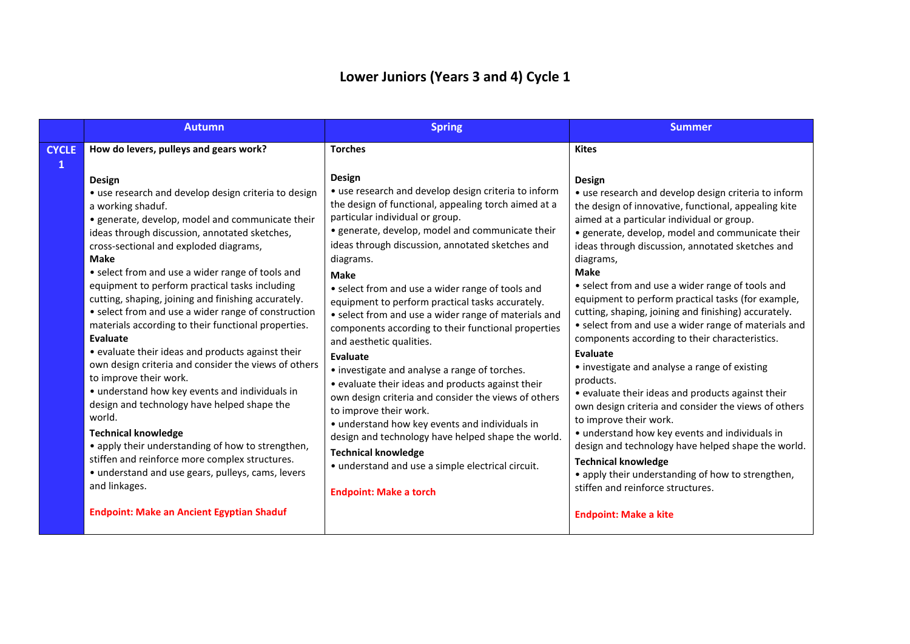## **Lower Juniors (Years 3 and 4) Cycle 1**

|                              | <b>Autumn</b>                                                                                                                                                                                                                                                                                                                                                                                                                                                                                                                                                                                                                                                                                                                                                                                                                                                                                                                                                                                                                                                    | <b>Spring</b>                                                                                                                                                                                                                                                                                                                                                                                                                                                                                                                                                                                                                                                                                                                                                                                                                                                                                                                                                                           | <b>Summer</b>                                                                                                                                                                                                                                                                                                                                                                                                                                                                                                                                                                                                                                                                                                                                                                                                                                                                                                                                                                                                                                                                |
|------------------------------|------------------------------------------------------------------------------------------------------------------------------------------------------------------------------------------------------------------------------------------------------------------------------------------------------------------------------------------------------------------------------------------------------------------------------------------------------------------------------------------------------------------------------------------------------------------------------------------------------------------------------------------------------------------------------------------------------------------------------------------------------------------------------------------------------------------------------------------------------------------------------------------------------------------------------------------------------------------------------------------------------------------------------------------------------------------|-----------------------------------------------------------------------------------------------------------------------------------------------------------------------------------------------------------------------------------------------------------------------------------------------------------------------------------------------------------------------------------------------------------------------------------------------------------------------------------------------------------------------------------------------------------------------------------------------------------------------------------------------------------------------------------------------------------------------------------------------------------------------------------------------------------------------------------------------------------------------------------------------------------------------------------------------------------------------------------------|------------------------------------------------------------------------------------------------------------------------------------------------------------------------------------------------------------------------------------------------------------------------------------------------------------------------------------------------------------------------------------------------------------------------------------------------------------------------------------------------------------------------------------------------------------------------------------------------------------------------------------------------------------------------------------------------------------------------------------------------------------------------------------------------------------------------------------------------------------------------------------------------------------------------------------------------------------------------------------------------------------------------------------------------------------------------------|
| <b>CYCLE</b><br>$\mathbf{1}$ | How do levers, pulleys and gears work?                                                                                                                                                                                                                                                                                                                                                                                                                                                                                                                                                                                                                                                                                                                                                                                                                                                                                                                                                                                                                           | <b>Torches</b>                                                                                                                                                                                                                                                                                                                                                                                                                                                                                                                                                                                                                                                                                                                                                                                                                                                                                                                                                                          | <b>Kites</b>                                                                                                                                                                                                                                                                                                                                                                                                                                                                                                                                                                                                                                                                                                                                                                                                                                                                                                                                                                                                                                                                 |
|                              | <b>Design</b><br>• use research and develop design criteria to design<br>a working shaduf.<br>• generate, develop, model and communicate their<br>ideas through discussion, annotated sketches,<br>cross-sectional and exploded diagrams,<br><b>Make</b><br>• select from and use a wider range of tools and<br>equipment to perform practical tasks including<br>cutting, shaping, joining and finishing accurately.<br>• select from and use a wider range of construction<br>materials according to their functional properties.<br>Evaluate<br>• evaluate their ideas and products against their<br>own design criteria and consider the views of others<br>to improve their work.<br>• understand how key events and individuals in<br>design and technology have helped shape the<br>world.<br><b>Technical knowledge</b><br>• apply their understanding of how to strengthen,<br>stiffen and reinforce more complex structures.<br>• understand and use gears, pulleys, cams, levers<br>and linkages.<br><b>Endpoint: Make an Ancient Egyptian Shaduf</b> | <b>Design</b><br>• use research and develop design criteria to inform<br>the design of functional, appealing torch aimed at a<br>particular individual or group.<br>• generate, develop, model and communicate their<br>ideas through discussion, annotated sketches and<br>diagrams.<br><b>Make</b><br>• select from and use a wider range of tools and<br>equipment to perform practical tasks accurately.<br>• select from and use a wider range of materials and<br>components according to their functional properties<br>and aesthetic qualities.<br>Evaluate<br>• investigate and analyse a range of torches.<br>• evaluate their ideas and products against their<br>own design criteria and consider the views of others<br>to improve their work.<br>• understand how key events and individuals in<br>design and technology have helped shape the world.<br><b>Technical knowledge</b><br>• understand and use a simple electrical circuit.<br><b>Endpoint: Make a torch</b> | <b>Design</b><br>• use research and develop design criteria to inform<br>the design of innovative, functional, appealing kite<br>aimed at a particular individual or group.<br>· generate, develop, model and communicate their<br>ideas through discussion, annotated sketches and<br>diagrams,<br><b>Make</b><br>• select from and use a wider range of tools and<br>equipment to perform practical tasks (for example,<br>cutting, shaping, joining and finishing) accurately.<br>• select from and use a wider range of materials and<br>components according to their characteristics.<br>Evaluate<br>• investigate and analyse a range of existing<br>products.<br>• evaluate their ideas and products against their<br>own design criteria and consider the views of others<br>to improve their work.<br>• understand how key events and individuals in<br>design and technology have helped shape the world.<br><b>Technical knowledge</b><br>• apply their understanding of how to strengthen,<br>stiffen and reinforce structures.<br><b>Endpoint: Make a kite</b> |
|                              |                                                                                                                                                                                                                                                                                                                                                                                                                                                                                                                                                                                                                                                                                                                                                                                                                                                                                                                                                                                                                                                                  |                                                                                                                                                                                                                                                                                                                                                                                                                                                                                                                                                                                                                                                                                                                                                                                                                                                                                                                                                                                         |                                                                                                                                                                                                                                                                                                                                                                                                                                                                                                                                                                                                                                                                                                                                                                                                                                                                                                                                                                                                                                                                              |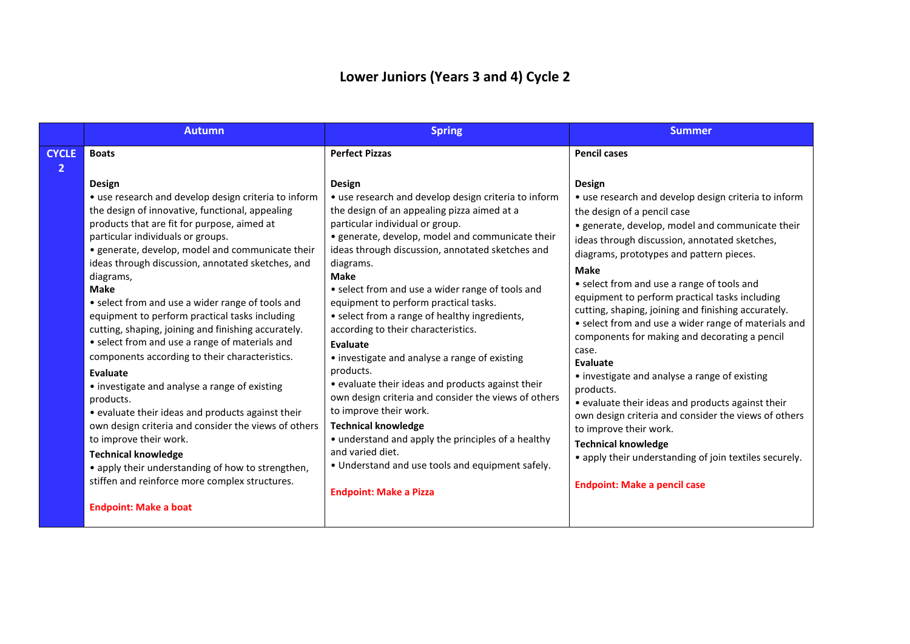## **Lower Juniors (Years 3 and 4) Cycle 2**

|                                | <b>Autumn</b>                                                                                                                                                                                                                                                                                                                                                                                                                                                                                                                                                                                                                                                                                                                    | <b>Spring</b>                                                                                                                                                                                                                                                                                                                                                                                                                                                                                                                                                                                                                                                                           | <b>Summer</b>                                                                                                                                                                                                                                                                                                                                                                                                                                                                                                                                                                                                                                               |
|--------------------------------|----------------------------------------------------------------------------------------------------------------------------------------------------------------------------------------------------------------------------------------------------------------------------------------------------------------------------------------------------------------------------------------------------------------------------------------------------------------------------------------------------------------------------------------------------------------------------------------------------------------------------------------------------------------------------------------------------------------------------------|-----------------------------------------------------------------------------------------------------------------------------------------------------------------------------------------------------------------------------------------------------------------------------------------------------------------------------------------------------------------------------------------------------------------------------------------------------------------------------------------------------------------------------------------------------------------------------------------------------------------------------------------------------------------------------------------|-------------------------------------------------------------------------------------------------------------------------------------------------------------------------------------------------------------------------------------------------------------------------------------------------------------------------------------------------------------------------------------------------------------------------------------------------------------------------------------------------------------------------------------------------------------------------------------------------------------------------------------------------------------|
| <b>CYCLE</b><br>$\overline{2}$ | <b>Boats</b><br>Design                                                                                                                                                                                                                                                                                                                                                                                                                                                                                                                                                                                                                                                                                                           | <b>Perfect Pizzas</b><br><b>Design</b>                                                                                                                                                                                                                                                                                                                                                                                                                                                                                                                                                                                                                                                  | <b>Pencil cases</b><br><b>Design</b>                                                                                                                                                                                                                                                                                                                                                                                                                                                                                                                                                                                                                        |
|                                | • use research and develop design criteria to inform<br>the design of innovative, functional, appealing<br>products that are fit for purpose, aimed at<br>particular individuals or groups.<br>· generate, develop, model and communicate their<br>ideas through discussion, annotated sketches, and<br>diagrams,<br><b>Make</b><br>• select from and use a wider range of tools and<br>equipment to perform practical tasks including<br>cutting, shaping, joining and finishing accurately.<br>• select from and use a range of materials and<br>components according to their characteristics.<br>Evaluate<br>• investigate and analyse a range of existing<br>products.<br>• evaluate their ideas and products against their | • use research and develop design criteria to inform<br>the design of an appealing pizza aimed at a<br>particular individual or group.<br>• generate, develop, model and communicate their<br>ideas through discussion, annotated sketches and<br>diagrams.<br><b>Make</b><br>• select from and use a wider range of tools and<br>equipment to perform practical tasks.<br>• select from a range of healthy ingredients,<br>according to their characteristics.<br><b>Evaluate</b><br>• investigate and analyse a range of existing<br>products.<br>• evaluate their ideas and products against their<br>own design criteria and consider the views of others<br>to improve their work. | • use research and develop design criteria to inform<br>the design of a pencil case<br>· generate, develop, model and communicate their<br>ideas through discussion, annotated sketches,<br>diagrams, prototypes and pattern pieces.<br><b>Make</b><br>• select from and use a range of tools and<br>equipment to perform practical tasks including<br>cutting, shaping, joining and finishing accurately.<br>• select from and use a wider range of materials and<br>components for making and decorating a pencil<br>case.<br>Evaluate<br>• investigate and analyse a range of existing<br>products.<br>• evaluate their ideas and products against their |
|                                | own design criteria and consider the views of others<br>to improve their work.<br><b>Technical knowledge</b><br>• apply their understanding of how to strengthen,<br>stiffen and reinforce more complex structures.<br><b>Endpoint: Make a boat</b>                                                                                                                                                                                                                                                                                                                                                                                                                                                                              | <b>Technical knowledge</b><br>• understand and apply the principles of a healthy<br>and varied diet.<br>• Understand and use tools and equipment safely.<br><b>Endpoint: Make a Pizza</b>                                                                                                                                                                                                                                                                                                                                                                                                                                                                                               | own design criteria and consider the views of others<br>to improve their work.<br><b>Technical knowledge</b><br>• apply their understanding of join textiles securely.<br><b>Endpoint: Make a pencil case</b>                                                                                                                                                                                                                                                                                                                                                                                                                                               |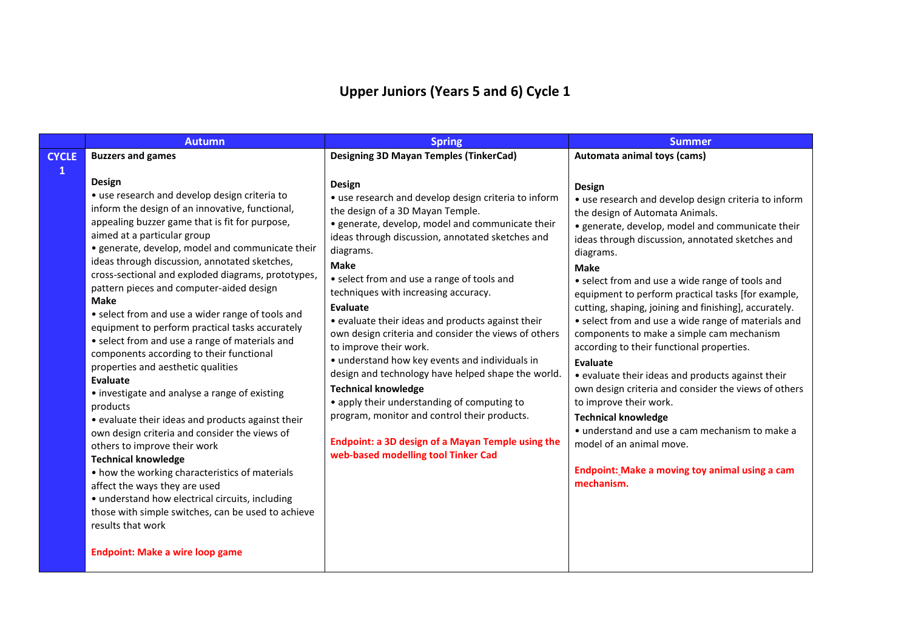# **Upper Juniors (Years 5 and 6) Cycle 1**

|              | <b>Autumn</b>                                                                                                                                                                                                                                                                                                                                                                                                                                                                                                                                                                                                                                                                                                                                                                                                                                                                                                                                                                                                                                                                                                                                                        | <b>Spring</b>                                                                                                                                                                                                                                                                                                                                                                                                                                                                                                                                                                                                                                                                                                                                                                                                    | <b>Summer</b>                                                                                                                                                                                                                                                                                                                                                                                                                                                                                                                                                                                                                                                                                                                                                                                                                                                                                  |
|--------------|----------------------------------------------------------------------------------------------------------------------------------------------------------------------------------------------------------------------------------------------------------------------------------------------------------------------------------------------------------------------------------------------------------------------------------------------------------------------------------------------------------------------------------------------------------------------------------------------------------------------------------------------------------------------------------------------------------------------------------------------------------------------------------------------------------------------------------------------------------------------------------------------------------------------------------------------------------------------------------------------------------------------------------------------------------------------------------------------------------------------------------------------------------------------|------------------------------------------------------------------------------------------------------------------------------------------------------------------------------------------------------------------------------------------------------------------------------------------------------------------------------------------------------------------------------------------------------------------------------------------------------------------------------------------------------------------------------------------------------------------------------------------------------------------------------------------------------------------------------------------------------------------------------------------------------------------------------------------------------------------|------------------------------------------------------------------------------------------------------------------------------------------------------------------------------------------------------------------------------------------------------------------------------------------------------------------------------------------------------------------------------------------------------------------------------------------------------------------------------------------------------------------------------------------------------------------------------------------------------------------------------------------------------------------------------------------------------------------------------------------------------------------------------------------------------------------------------------------------------------------------------------------------|
| <b>CYCLE</b> | <b>Buzzers and games</b>                                                                                                                                                                                                                                                                                                                                                                                                                                                                                                                                                                                                                                                                                                                                                                                                                                                                                                                                                                                                                                                                                                                                             | <b>Designing 3D Mayan Temples (TinkerCad)</b>                                                                                                                                                                                                                                                                                                                                                                                                                                                                                                                                                                                                                                                                                                                                                                    | Automata animal toys (cams)                                                                                                                                                                                                                                                                                                                                                                                                                                                                                                                                                                                                                                                                                                                                                                                                                                                                    |
| $\mathbf{1}$ | Design<br>• use research and develop design criteria to<br>inform the design of an innovative, functional,<br>appealing buzzer game that is fit for purpose,<br>aimed at a particular group<br>· generate, develop, model and communicate their<br>ideas through discussion, annotated sketches,<br>cross-sectional and exploded diagrams, prototypes,<br>pattern pieces and computer-aided design<br><b>Make</b><br>• select from and use a wider range of tools and<br>equipment to perform practical tasks accurately<br>• select from and use a range of materials and<br>components according to their functional<br>properties and aesthetic qualities<br>Evaluate<br>• investigate and analyse a range of existing<br>products<br>• evaluate their ideas and products against their<br>own design criteria and consider the views of<br>others to improve their work<br><b>Technical knowledge</b><br>• how the working characteristics of materials<br>affect the ways they are used<br>· understand how electrical circuits, including<br>those with simple switches, can be used to achieve<br>results that work<br><b>Endpoint: Make a wire loop game</b> | Design<br>• use research and develop design criteria to inform<br>the design of a 3D Mayan Temple.<br>· generate, develop, model and communicate their<br>ideas through discussion, annotated sketches and<br>diagrams.<br><b>Make</b><br>• select from and use a range of tools and<br>techniques with increasing accuracy.<br>Evaluate<br>• evaluate their ideas and products against their<br>own design criteria and consider the views of others<br>to improve their work.<br>• understand how key events and individuals in<br>design and technology have helped shape the world.<br><b>Technical knowledge</b><br>• apply their understanding of computing to<br>program, monitor and control their products.<br>Endpoint: a 3D design of a Mayan Temple using the<br>web-based modelling tool Tinker Cad | <b>Design</b><br>• use research and develop design criteria to inform<br>the design of Automata Animals.<br>· generate, develop, model and communicate their<br>ideas through discussion, annotated sketches and<br>diagrams.<br><b>Make</b><br>• select from and use a wide range of tools and<br>equipment to perform practical tasks [for example,<br>cutting, shaping, joining and finishing], accurately.<br>• select from and use a wide range of materials and<br>components to make a simple cam mechanism<br>according to their functional properties.<br>Evaluate<br>• evaluate their ideas and products against their<br>own design criteria and consider the views of others<br>to improve their work.<br><b>Technical knowledge</b><br>• understand and use a cam mechanism to make a<br>model of an animal move.<br>Endpoint: Make a moving toy animal using a cam<br>mechanism. |